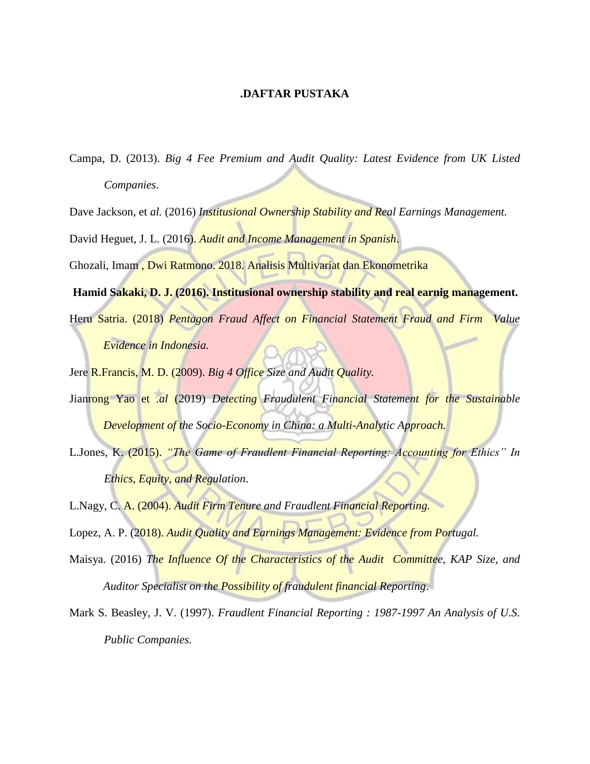## **.DAFTAR PUSTAKA**

- Campa, D. (2013). *Big 4 Fee Premium and Audit Quality: Latest Evidence from UK Listed Companies*.
- Dave Jackson, et *al.* (2016) *Institusional Ownership Stability and Real Earnings Management.*
- David Heguet, J. L. (2016). *Audit and Income Management in Spanish*.
- Ghozali, Imam , Dwi Ratmono. 2018. Analisis Multivariat dan Ekonometrika
- **Hamid Sakaki, D. J. (2016). Institusional ownership stability and real earnig management.** Heru Satria. (2018) *Pentagon Fraud Affect on Financial Statement Fraud and Firm Value Evidence in Indonesia.*
- Jere R.Francis, M. D. (2009). *Big 4 Office Size and Audit Quality.*
- Jianrong Yao et .*al* (2019) *Detecting Fraudulent Financial Statement for the Sustainable Development of the Socio-Economy in China: a Multi-Analytic Approach.*
- L.Jones, K. (2015). *"The Game of Fraudlent Financial Reporting: Accounting for Ethics" In Ethics, Equity, and Regulation*.
- L.Nagy, C. A. (2004). *Audit Firm Tenure and Fraudlent Financial Reporting.*
- Lopez, A. P. (2018). *Audit Quality and Earnings Management: Evidence from Portugal.*
- Maisya. (2016) *The Influence Of the Characteristics of the Audit Committee, KAP Size, and Auditor Specialist on the Possibility of fraudulent financial Reporting*.
- Mark S. Beasley, J. V. (1997). *Fraudlent Financial Reporting : 1987-1997 An Analysis of U.S. Public Companies.*